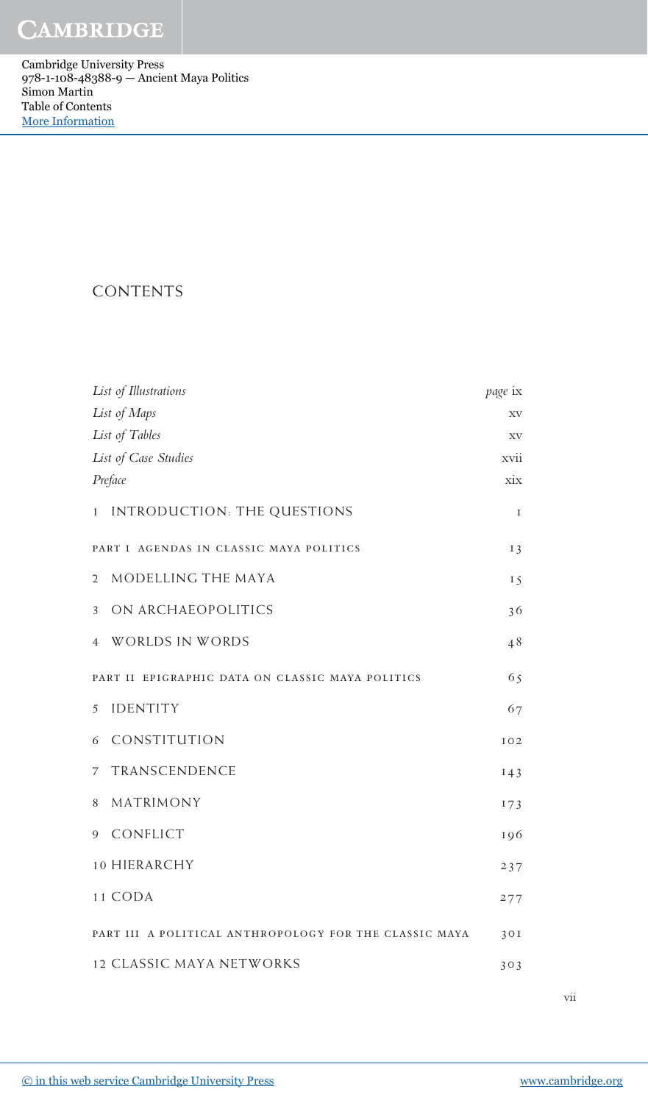Cambridge University Press 978-1-108-48388-9 — Ancient Maya Politics Simon Martin Table of Contents [More Information](www.cambridge.org/9781108483889)

## CONTENTS

| List of Illustrations                                  | page ix   |
|--------------------------------------------------------|-----------|
| List of Maps                                           | XV        |
| List of Tables                                         | XV        |
| List of Case Studies                                   | xvii      |
| Preface                                                | $\dot{X}$ |
| INTRODUCTION: THE QUESTIONS<br>$\mathbf{1}$            | I         |
| PART I AGENDAS IN CLASSIC MAYA POLITICS                | $I_3$     |
| MODELLING THE MAYA<br>$\overline{2}$                   | 15        |
| ON ARCHAEOPOLITICS<br>3                                | 36        |
| WORLDS IN WORDS<br>$\overline{4}$                      | 48        |
| PART II EPIGRAPHIC DATA ON CLASSIC MAYA POLITICS       | 65        |
| <b>IDENTITY</b><br>5                                   | 67        |
| CONSTITUTION<br>6                                      | IO2       |
| TRANSCENDENCE<br>7                                     | 143       |
| MATRIMONY<br>8                                         | 173       |
| CONFLICT<br>9                                          | 196       |
| 10 HIERARCHY                                           | 237       |
| 11 CODA                                                | 277       |
| PART III A POLITICAL ANTHROPOLOGY FOR THE CLASSIC MAYA | 30I       |
| <b>12 CLASSIC MAYA NETWORKS</b>                        | 303       |

vii